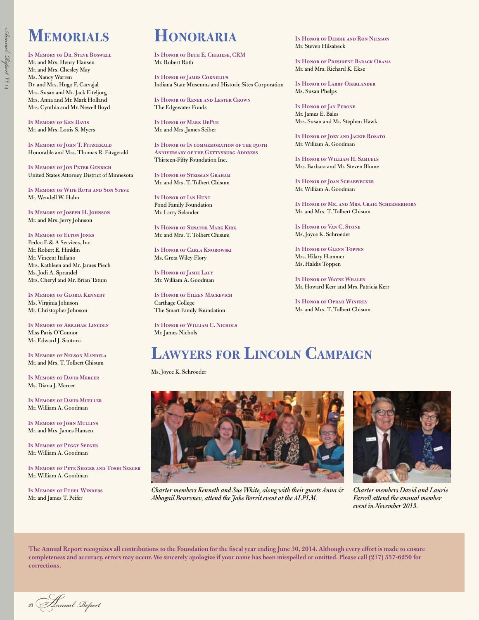## **MEMORIALS HONORARIA In Honor of Debbie and Ron Nilsson**

**In Memory of Dr. Steve Boswell**  Mr. and Mrs. Henry Hansen Mr. and Mrs. Chesley May Ms. Nancy Warren Dr. and Mrs. Hugo F. Carvajal Mrs. Susan and Mr. Jack Eiteljorg Mrs. Anna and Mr. Mark Holland Mrs. Cynthia and Mr. Newell Boyd

**In Memory of Ken Davis**  Mr. and Mrs. Louis S. Myers

**In Memory of John T. Fitzgerald**  Honorable and Mrs. Thomas R. Fitzgerald

**In Memory of Jon Peter Genrich**  United States Attorney District of Minnesota

**In Memory of Wife Ruth and Son Steve**  Mr. Wendell W. Hahn

**In Memory of Joseph H. Johnson**  Mr. and Mrs. Jerry Johnson

#### **In Memory of Elton Jones**

Pedco E & A Services, Inc. Mr. Robert E. Hinklin Mr. Vincent Italiano Mrs. Kathleen and Mr. James Piech Ms. Jodi A. Sprandel Mrs. Cheryl and Mr. Brian Tatum

**In Memory of Gloria Kennedy**  Ms. Virginia Johnson Mr. Christopher Johnson

**In Memory of Abraham Lincoln**  Miss Paris O'Connor Mr. Edward J. Santoro

**In Memory of Nelson Mandela**  Mr. and Mrs. T. Tolbert Chisum

**In Memory of David Mercer**  Ms. Diana J. Mercer

**In Memory of David Mueller**  Mr. William A. Goodman

**In Memory of John Mullins**  Mr. and Mrs. James Hansen

**In Memory of Peggy Seeger**  Mr. William A. Goodman

**In Memory of Pete Seeger and Toshi Seeger**  Mr. William A. Goodman

**In Memory of Ethel Winders**  Mr. and James T. Peifer

**In Honor of Beth E. Chiaiese, CRM**  Mr. Robert Roth

**In Honor of James Cornelius**  Indiana State Museums and Historic Sites Corporation

**In Honor of Renee and Lester Crown**  The Edgewater Funds

**In Honor of Mark DePue**  Mr. and Mrs. James Seiber

**In Honor of In commemoration of the 150th Anniversary of the Gettysburg Address**  Thirteen-Fifty Foundation Inc.

**In Honor of Stedman Graham**  Mr. and Mrs. T. Tolbert Chisum

**In Honor of Ian Hunt**  Pond Family Foundation Mr. Larry Selander

**In Honor of Senator Mark Kirk**  Mr. and Mrs. T. Tolbert Chisum

**In Honor of Carla Knorowski**  Ms. Greta Wiley Flory

**In Honor of Jamie Lacy**  Mr. William A. Goodman

**In Honor of Eileen Mackevich**  Carthage College The Smart Family Foundation

**In Honor of William C. Nichols**  Mr. James Nichols

Mr. Steven Hilsabeck

**In Honor of President Barack Obama**  Mr. and Mrs. Richard K. Ekse

**In Honor of Larry Oberlander**  Ms. Susan Phelps

**In Honor of Jan Perone**  Mr. James E. Bales Mrs. Susan and Mr. Stephen Hawk

**In Honor of Joey and Jackie Rosato**  Mr. William A. Goodman

**In Honor of William H. Samuels**  Mrs. Barbara and Mr. Steven Blume

**In Honor of Joan Schabwecker**  Mr. William A. Goodman

**In Honor of Mr. and Mrs. Craig Schermerhorn**  Mr. and Mrs. T. Tolbert Chisum

**In Honor of Van C. Stone**  Ms. Joyce K. Schroeder

**In Honor of Glenn Toppen**  Mrs. Hilary Hammer Ms. Haldis Toppen

**In Honor of Wayne Whalen**  Mr. Howard Kerr and Mrs. Patricia Kerr

**In Honor of Oprah Winfrey**  Mr. and Mrs. T. Tolbert Chisum

## **LAWYERS FOR LINCOLN CAMPAIGN**

Ms. Joyce K. Schroeder



*Charter members Kenneth and Sue White, along with their guests Anna & Abbagail Bourvnev, attend the Jake Borrit event at the ALPLM.* 



*Charter members David and Laurie Farrell attend the annual member event in November 2013.* 

**The Annual Report recognizes all contributions to the Foundation for the fscal year ending June 30, 2014. Although every efort is made to ensure completeness and accuracy, errors may occur. We sincerely apologize if your name has been misspelled or omitted. Please call (217) 557-6250 for corrections.** 

<sup>16</sup>A*nnual Repor*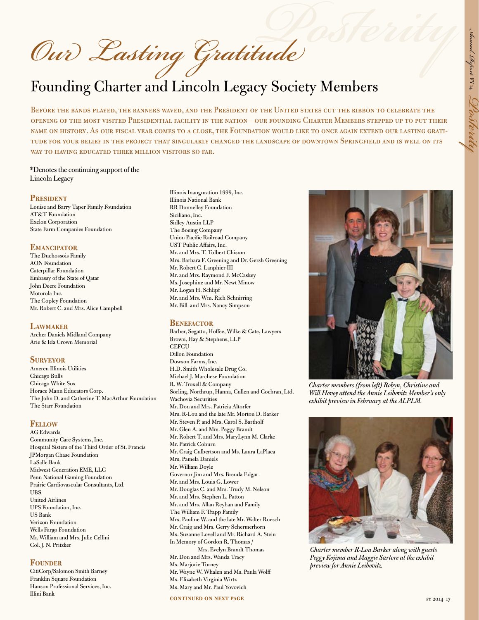Our Lasting Gratitude

# Founding Charter and Lincoln Legacy Society Members

Before the bands played, the banners waved, and the President of the United states cut the ribbon to celebrate the opening of the most visited Presidential facility in the nation—our founding Charter Members stepped up to put their name on history. As our fiscal year comes to a close, the Foundation would like to once again extend our lasting gratitude for your belief in the project that singularly changed the landscape of downtown Springfield and is well on its WAY TO HAVING EDUCATED THREE MILLION VISITORS SO FAR.

#### \*Denotes the continuing support of the Lincoln Legacy

#### **PRESIDENT**

Louise and Barry Taper Family Foundation AT&T Foundation Exelon Corporation State Farm Companies Foundation

#### **EMANCIPATOR**

The Duchossois Family AON Foundation Caterpillar Foundation Embassy of the State of Qatar John Deere Foundation Motorola Inc. The Copley Foundation Mr. Robert C. and Mrs. Alice Campbell

#### **LAWMAKER**

Archer Daniels Midland Company Arie & Ida Crown Memorial

#### **SURVEYOR**

Ameren Illinois Utilities Chicago Bulls Chicago White Sox Horace Mann Educators Corp. The John D. and Catherine T. MacArthur Foundation The Starr Foundation

#### **FELLOW**

AG Edwards Community Care Systems, Inc. Hospital Sisters of the Third Order of St. Francis JPMorgan Chase Foundation LaSalle Bank Midwest Generation EME, LLC Penn National Gaming Foundation Prairie Cardiovascular Consultants, Ltd. UBS United Airlines UPS Foundation, Inc. US Bank Verizon Foundation Wells Fargo Foundation Mr. William and Mrs. Julie Cellini Col. J. N. Pritzker

#### **FOUNDER**

CitiCorp/Salomon Smith Barney Franklin Square Foundation Hanson Professional Services, Inc. Illini Bank

Illinois Inauguration 1999, Inc. Illinois National Bank RR Donnelley Foundation Siciliano, Inc. Sidley Austin LLP The Boeing Company Union Pacifc Railroad Company UST Public Afairs, Inc. Mr. and Mrs. T. Tolbert Chisum Mrs. Barbara F. Greening and Dr. Gersh Greening Mr. Robert C. Lanphier III Mr. and Mrs. Raymond F. McCaskey Ms. Josephine and Mr. Newt Minow Mr. Logan H. Schlipf Mr. and Mrs. Wm. Rich Schnirring Mr. Bill and Mrs. Nancy Simpson

#### **BENEFACTOR**

Barber, Segatto, Hoffee, Wilke & Cate, Lawyers Brown, Hay & Stephens, LLP **CEFCU** Dillon Foundation Dowson Farms, Inc. H.D. Smith Wholesale Drug Co. Michael J. Marchese Foundation R. W. Troxell & Company Sorling, Northrup, Hanna, Cullen and Cochran, Ltd. Wachovia Securities Mr. Don and Mrs. Patricia Altorfer Mrs. R-Lou and the late Mr. Morton D. Barker Mr. Steven P. and Mrs. Carol S. Bartholf Mr. Glen A. and Mrs. Peggy Brandt Mr. Robert T. and Mrs. MaryLynn M. Clarke Mr. Patrick Coburn Mr. Craig Culbertson and Ms. Laura LaPlaca Mrs. Pamela Daniels Mr. William Doyle Governor Jim and Mrs. Brenda Edgar Mr. and Mrs. Louis G. Lower Mr. Douglas C. and Mrs. Trudy M. Nelson Mr. and Mrs. Stephen L. Patton Mr. and Mrs. Allan Reyhan and Family The William F. Trapp Family Mrs. Pauline W. and the late Mr. Walter Roesch Mr. Craig and Mrs. Gerry Schermerhorn Ms. Suzanne Lovell and Mr. Richard A. Stein In Memory of Gordon R. Thomas / Mrs. Evelyn Brandt Thomas Mr. Don and Mrs. Wanda Tracy Ms. Marjorie Turney Mr. Wayne W. Whalen and Ms. Paula Wolf Ms. Elizabeth Virginia Wirtz Ms. Mary and Mr. Paul Yovovich

**continued on next page** 



*Charter members (from left) Robyn, Christine and Will Hovey attend the Annie Leibovitz Member's only exhibit preview in February at the ALPLM.* 



*Charter member R-Lou Barker along with guests Peggy Kojima and Maggie Sartore at the exhibit preview for Annie Leibovitz.*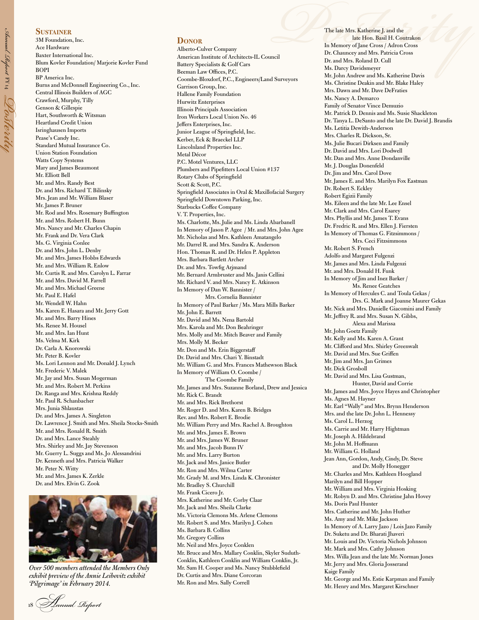#### **SUSTAINER**

*Annual Report* 

 $\rm _{H}$ 

*Posterity*

3M Foundation, Inc. Ace Hardware Baxter International Inc. BOPI BP America Inc. Crawford, Murphy, Tilly Genson & Gillespie Heartland Credit Union Isringhausen Imports Pease's Candy Inc. Standard Mutual Insurance Co. Union Station Foundation Watts Copy Systems Mary and James Beaumont Mr. Elliott Bell Mr. and Mrs. Randy Best Dr. and Mrs. Richard T. Bilinsky Mrs. Jean and Mr. William Blaser Mr. James P. Bruner Mr. Rod and Mrs. Rosemary Buffington Mr. and Mrs. Robert H. Bunn Mrs. Nancy and Mr. Charles Chapin Mr. Frank and Dr. Vera Clark Ms. G. Virginia Conlee Dr. and Mrs. John L. Denby Mr. and Mrs. James Hobbs Edwards Mr. and Mrs. William R. Enlow Mr. Curtis R. and Mrs. Carolyn L. Farrar Mr. and Mrs. David M. Farrell Mr. and Mrs. Michael Greene Mr. Paul E. Hafel Mr. Wendell W. Hahn Ms. Karen E. Hasara and Mr. Jerry Gott Mr. and Mrs. Barry Hines Ms. Renee M. Housel Mr. and Mrs. Ian Hunt Ms. Velma M. Kirk Dr. Carla A. Knorowski Mr. Peter B. Kovler Ms. Lori Lennon and Mr. Donald J. Lynch Mr. Frederic V. Malek Mr. Jay and Mrs. Susan Mogerman Mr. and Mrs. Robert M. Perkins Dr. Ranga and Mrs. Krishna Reddy Mr. Paul R. Schanbacher Mrs. Junia Shlaustas Dr. and Mrs. James A. Singleton Dr. Lawrence J. Smith and Mrs. Sheila Stocks-Smith Mr. and Mrs. Ronald R. Smith Dr. and Mrs. Lance Steahly Mrs. Shirley and Mr. Jay Stevenson Mr. Guerry L. Suggs and Ms. Jo Alessandrini Dr. Kenneth and Mrs. Patricia Walker Mr. Peter N. Witty Mr. and Mrs. James K. Zerkle Dr. and Mrs. Elvin G. Zook Blum Kovler Foundation/ Marjorie Kovler Fund Burns and McDonnell Engineering Co., Inc. Central Illinois Builders of AGC Hart, Southworth & Witsman



*Over 500 members attended the Members Only exhibit preview of the Annie Leibovitz exhibit 'Pilgrimage' in February 2014.* 

## <sup>18</sup>A*nnual Repor*

#### **DONOR**

Alberto-Culver Company American Institute of Architects-IL Council Battery Specialists & Golf Cars Beeman Law Offices, P.C. Coombe-Bloxdorf, P.C., Engineers/Land Surveyors Garrison Group, Inc. Hallene Family Foundation Hurwitz Enterprises Illinois Principals Association Iron Workers Local Union No. 46 Jefers Enterprises, Inc. Junior League of Springfeld, Inc. Kerber, Eck & Braeckel LLP Lincolnland Properties Inc. Metal Décor P.C. Motel Ventures, LLC Plumbers and Pipeftters Local Union #137 Rotary Clubs of Springfeld Scott & Scott, P.C. Springfeld Associates in Oral & Maxillofacial Surgery Springfeld Downtown Parking, Inc. Starbucks Coffee Company V. T. Properties, Inc. Ms. Charlotte, Ms. Julie and Ms. Linda Abarbanell In Memory of Jason P. Agee / Mr. and Mrs. John Agee Mr. Nicholas and Mrs. Kathleen Amatangelo Mr. Darrel R. and Mrs. Sandra K. Anderson Hon. Thomas R. and Dr. Helen P. Appleton Mrs. Barbara Bartlett Archer Dr. and Mrs. Towfg Arjmand Mr. Bernard Armbruster and Ms. Janis Cellini Mr. Richard V. and Mrs. Nancy E. Atkinson In Memory of Dan W. Bannister / Mrs. Cornelia Bannister In Memory of Paul Barker / Ms. Mara Mills Barker Mr. John E. Barrett Mr. David and Ms. Nena Bartold Mrs. Karola and Mr. Don Beahringer Mrs. Molly and Mr. Mitch Beaver and Family Mrs. Molly M. Becker Mr. Don and Ms. Erin Biggerstaf Dr. David and Mrs. Chari Y. Binstadt Mr. William G. and Mrs. Frances Mathewson Black In Memory of William O. Coombe / The Coombe Family Mr. James and Mrs. Suzanne Borland, Drew and Jessica Mr. Rick C. Brandt Mr. and Mrs. Rick Brethorst Mr. Roger D. and Mrs. Karen B. Bridges Rev. and Mrs. Robert E. Brodie Mr. William Perry and Mrs. Rachel A. Broughton Mr. and Mrs. James E. Brown Mr. and Mrs. James W. Bruner Mr. and Mrs. Jacob Bunn IV Mr. and Mrs. Larry Burton Mr. Jack and Mrs. Janice Butler Mr. Ron and Mrs. Wilma Carter Mr. Grady M. and Mrs. Linda K. Chronister Mr. Bradley S. Churchill Mr. Frank Cicero Jr. Mrs. Katherine and Mr. Corby Claar Mr. Jack and Mrs. Sheila Clarke Ms. Victoria Clemons Ms. Arlene Clemons Mr. Robert S. and Mrs. Marilyn J. Cohen Ms. Barbara B. Collins Mr. Gregory Collins Mr. Neil and Mrs. Joyce Conklen Mr. Bruce and Mrs. Mallary Conklin, Skyler Suduth-Conklin, Kathleen Conklin and William Conklin, Jr. Mr. Sam H. Cooper and Ms. Nancy Stubblefeld Dr. Curtis and Mrs. Diane Corcoran Mr. Ron and Mrs. Sally Correll

The late Mrs. Katherine J. and the late Hon. Basil H. Coutrakon In Memory of Jane Cross / Adron Cross Dr. Chauncey and Mrs. Patricia Cross Dr. and Mrs. Roland D. Cull Ms. Darcy Davidsmeyer Mr. John Andrew and Ms. Katherine Davis Ms. Christine Deakin and Mr. Blake Haley Mrs. Dawn and Mr. Dave DeFraties Ms. Nancy A. Demarco Family of Senator Vince Demuzio Mr. Patrick D. Dennis and Ms. Susie Shackleton Dr. Tanya L. DeSanto and the late Dr. David J. Brandis Ms. Letitia Dewith-Anderson Mrs. Charles R. Dickson, Sr. **Phenomenon State Mrs. Katherine J. and the Late Hon. Basil H. Coutrakon<br>
In Memory of Jane Cross / Adron Cross<br>
Dr. Chauncey and Mrs. Patricia Cross<br>
Dr. and Mrs. Roland D. Cull<br>
Ms. Darcy Davidsmeyer<br>
Surveyors Mr. Charl** Ms. Julie Bucari Dirksen and Family Dr. David and Mrs. Lori Dodwell Mr. Dan and Mrs. Anne Dondanville Mr. J. Douglas Donenfeld Dr. Jim and Mrs. Carol Dove Mr. James E. and Mrs. Marilyn Fox Eastman Dr. Robert S. Eckley Robert Egizii Family Ms. Eileen and the late Mr. Lee Ensel Mr. Clark and Mrs. Carol Esarey Mrs. Phyllis and Mr. James T. Evans Dr. Fredric R. and Mrs. Ellen J. Fiersten In Memory of Thomas G. Fitzsimmons / Mrs. Ceci Fitzsimmons Mr. Robert S. French Adolfo and Margaret Fulgenzi Mr. James and Mrs. Linda Fulgenzi Mr. and Mrs. Donald H. Funk In Memory of Jim and Inez Barker / Ms. Renee Geatches In Memory of Hercules C. and Toula Gekas / Drs. G. Mark and Joanne Maurer Gekas Mr. Nick and Mrs. Danielle Giacomini and Family Mr. Jefrey R. and Mrs. Susan N. Gibbs, Alexa and Marissa Mr. John Goetz Family Mr. Kelly and Ms. Karen A. Grant Mr. Cliford and Mrs. Shirley Greenwalt Mr. David and Mrs. Sue Grifen Mr. Jim and Mrs. Jan Grimes Mr. Dick Grosboll Mr. David and Mrs. Lisa Gustman, Hunter, David and Corrie Mr. James and Mrs. Joyce Hayes and Christopher Ms. Agnes M. Hayner Mr. Earl "Wally" and Mrs. Brynn Henderson Mrs. and the late Dr. John L. Hennessy Ms. Carol L. Herzog Ms. Carrie and Mr. Harry Hightman Mr. Joseph A. Hildebrand Mr. John M. Hofmann Mr. William G. Holland Jean Ann, Gordon, Andy, Cindy, Dr. Steve and Dr. Molly Honegger Mr. Charles and Mrs. Kathleen Hoogland Marilyn and Bill Hopper Mr. William and Mrs. Virginia Hosking Mr. Robyn D. and Mrs. Christine Jahn Hovey Ms. Doris Paul Hunter Mrs. Catherine and Mr. John Huther Ms. Amy and Mr. Mike Jackson In Memory of A. Larry Jazo / Lois Jazo Family Dr. Suketu and Dr. Bharati Jhaveri Mr. Louis and Dr. Victoria Nichols Johnson Mr. Mark and Mrs. Cathy Johnson Mrs. Willa Jean and the late Mr. Norman Jones Mr. Jerry and Mrs. Gloria Josserand Kaige Family Mr. George and Ms. Estie Karpman and Family Mr. Henry and Mrs. Margaret Kirschner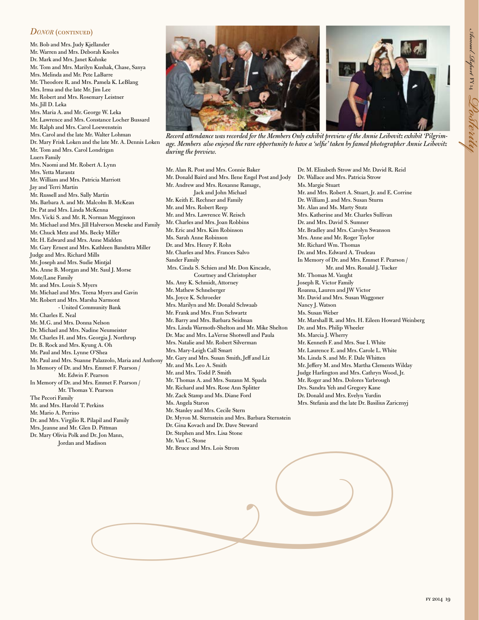### *DONOR* (CONTINUED)

Mr. Bob and Mrs. Judy Kjellander Mr. Warren and Mrs. Deborah Knoles Dr. Mark and Mrs. Janet Kuhnke Mr. Tom and Mrs. Marilyn Kushak, Chase, Sanya Mrs. Melinda and Mr. Pete LaBarre Mr. Theodore R. and Mrs. Pamela K. LeBlang Mrs. Irma and the late Mr. Jim Lee Mr. Robert and Mrs. Rosemary Leistner Ms. Jill D. Leka Mrs. Maria A. and Mr. George W. Leka Mr. Lawrence and Mrs. Constance Locher Bussard Mr. Ralph and Mrs. Carol Loewenstein Mrs. Carol and the late Mr. Walter Lohman Dr. Mary Frisk Loken and the late Mr. A. Dennis Loken Mr. Tom and Mrs. Carol Londrigan Luers Family Mrs. Naomi and Mr. Robert A. Lynn Mrs. Yetta Marantz Mr. William and Mrs. Patricia Marriott Jay and Terri Martin Mr. Russell and Mrs. Sally Martin Ms. Barbara A. and Mr. Malcolm B. McKean Dr. Pat and Mrs. Linda McKenna Mrs. Vicki S. and Mr. R. Norman Megginson Mr. Michael and Mrs. Jill Halverson Meseke and Family Mr. Chuck Metz and Ms. Becky Miller Mr. H. Edward and Mrs. Anne Midden Mr. Gary Ernest and Mrs. Kathleen Bandstra Miller Judge and Mrs. Richard Mills Mr. Joseph and Mrs. Sudie Mintjal Ms. Anne B. Morgan and Mr. Saul J. Morse Mote/Lane Family Mr. and Mrs. Louis S. Myers Mr. Michael and Mrs. Teena Myers and Gavin Mr. Robert and Mrs. Marsha Narmont - United Community Bank Mr. Charles E. Neal Mr. M.G. and Mrs. Donna Nelson Dr. Michael and Mrs. Nadine Neumeister Mr. Charles H. and Mrs. Georgia J. Northrup Dr. B. Rock and Mrs. Kyung A. Oh Mr. Paul and Mrs. Lynne O'Shea Mr. Paul and Mrs. Suanne Palazzolo, Maria and Anthony In Memory of Dr. and Mrs. Emmet F. Pearson / Mr. Edwin F. Pearson In Memory of Dr. and Mrs. Emmet F. Pearson / Mr. Thomas Y. Pearson The Pecori Family Mr. and Mrs. Harold T. Perkins Mr. Mario A. Perrino Dr. and Mrs. Virgilio R. Pilapil and Family Mrs. Jeanne and Mr. Glen D. Pittman Dr. Mary Olivia Polk and Dr. Jon Mann, Jordan and Madison



*Record attendance was recorded for the Members Only exhibit preview of the Annie Leibovitz exhibit 'Pilgrimage. Members also enjoyed the rare opportunity to have a 'selfe' taken by famed photographer Annie Leibovitz during the preview.* 

Mr. Alan R. Post and Mrs. Connie Baker Mr. Donald Baird and Mrs. Ilene Engel Post and Jody Mr. Andrew and Mrs. Roxanne Ramage, Jack and John Michael Mr. Keith E. Rechner and Family Mr. and Mrs. Robert Reep Mr. and Mrs. Lawrence W. Reisch Mr. Charles and Mrs. Joan Robbins Mr. Eric and Mrs. Kim Robinson Ms. Sarah Anne Robinson Dr. and Mrs. Henry F. Rohs Mr. Charles and Mrs. Frances Salvo Sander Family Mrs. Cinda S. Schien and Mr. Don Kincade, Courtney and Christopher Ms. Amy K. Schmidt, Attorney Mr. Mathew Schneberger Ms. Joyce K. Schroeder Mrs. Marilyn and Mr. Donald Schwaab Mr. Frank and Mrs. Fran Schwartz Mr. Barry and Mrs. Barbara Seidman Mrs. Linda Warmoth-Shelton and Mr. Mike Shelton Dr. Mac and Mrs. LaVerne Shotwell and Paula Mrs. Natalie and Mr. Robert Silverman Mrs. Mary-Leigh Call Smart Mr. Gary and Mrs. Susan Smith, Jeff and Liz Mr. and Ms. Leo A. Smith Mr. and Mrs. Todd P. Smith Mr. Thomas A. and Mrs. Suzann M. Spada Mr. Richard and Mrs. Rose Ann Splitter Mr. Zack Stamp and Ms. Diane Ford Ms. Angela Staron Mr. Stanley and Mrs. Cecile Stern Dr. Myron M. Sternstein and Mrs. Barbara Sternstein Dr. Gina Kovach and Dr. Dave Steward Dr. Stephen and Mrs. Lisa Stone Mr. Van C. Stone Mr. Bruce and Mrs. Lois Strom *-*

Dr. M. Elizabeth Strow and Mr. David R. Reid Dr. Wallace and Mrs. Patricia Strow Ms. Margie Stuart Mr. and Mrs. Robert A. Stuart, Jr. and E. Corrine Dr. William J. and Mrs. Susan Sturm Mr. Alan and Ms. Marty Stutz Mrs. Katherine and Mr. Charles Sullivan Dr. and Mrs. David S. Sumner Mr. Bradley and Mrs. Carolyn Swanson Mrs. Anne and Mr. Roger Taylor Mr. Richard Wm. Thomas Dr. and Mrs. Edward A. Trudeau In Memory of Dr. and Mrs. Emmet F. Pearson / Mr. and Mrs. Ronald J. Tucker Mr. Thomas M. Vaught Joseph R. Victor Family Roanna, Lauren and JW Victor Mr. David and Mrs. Susan Waggoner Nancy J. Watson Ms. Susan Weber Mr. Marshall R. and Mrs. H. Eileen Howard Weinberg Dr. and Mrs. Philip Wheeler Ms. Marcia J. Wherry Mr. Kenneth F. and Mrs. Sue I. White Mr. Laurence E. and Mrs. Carole L. White Ms. Linda S. and Mr. F. Dale Whitten Mr. Jefery M. and Mrs. Martha Clements Wilday Judge Harlington and Mrs. Cathryn Wood, Jr. Mr. Roger and Mrs. Dolores Yarbrough Drs. Sandra Yeh and Gregory Kane Dr. Donald and Mrs. Evelyn Yurdin Mrs. Stefania and the late Dr. Basilius Zaricznyj